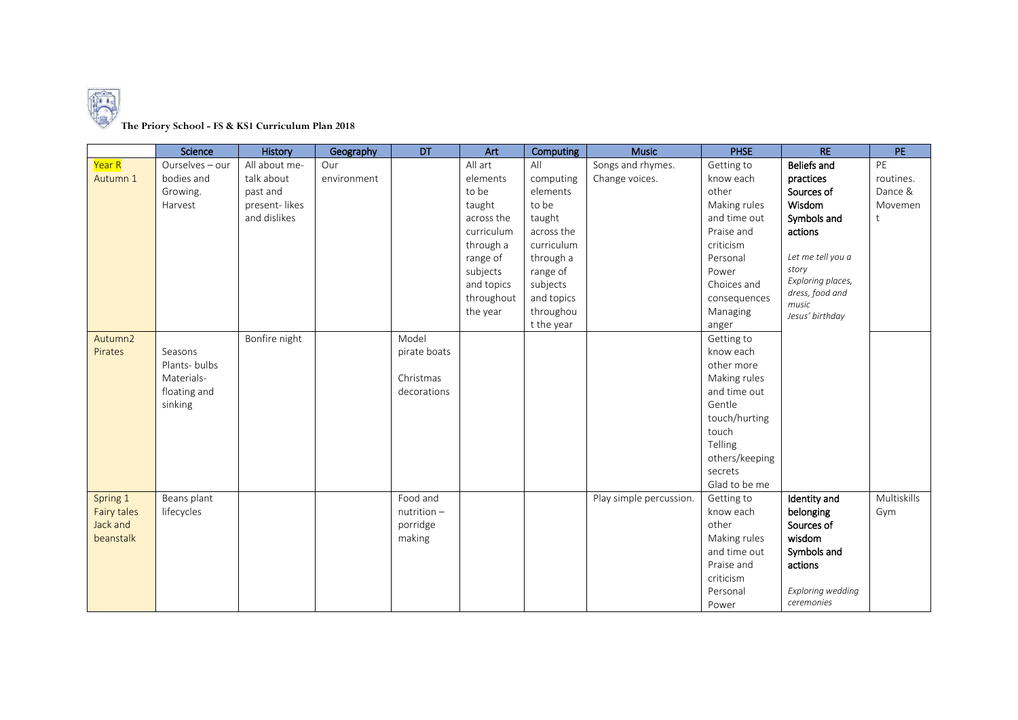

## **The Priory School - FS & KS1 Curriculum Plan 2018**

|                    | Science         | History       | Geography   | DT            | Art        | Computing  | <b>Music</b>            | <b>PHSE</b>    | R <sub>E</sub>           | PE          |
|--------------------|-----------------|---------------|-------------|---------------|------------|------------|-------------------------|----------------|--------------------------|-------------|
| Year R             | Ourselves - our | All about me- | Our         |               | All art    | All        | Songs and rhymes.       | Getting to     | <b>Beliefs and</b>       | PE          |
| Autumn 1           | bodies and      | talk about    | environment |               | elements   | computing  | Change voices.          | know each      | practices                | routines.   |
|                    | Growing.        | past and      |             |               | to be      | elements   |                         | other          | Sources of               | Dance &     |
|                    | Harvest         | present-likes |             |               | taught     | to be      |                         | Making rules   | Wisdom                   | Movemen     |
|                    |                 | and dislikes  |             |               | across the | taught     |                         | and time out   | Symbols and              | t           |
|                    |                 |               |             |               | curriculum | across the |                         | Praise and     | actions                  |             |
|                    |                 |               |             |               | through a  | curriculum |                         | criticism      |                          |             |
|                    |                 |               |             |               | range of   | through a  |                         | Personal       | Let me tell you a        |             |
|                    |                 |               |             |               | subjects   | range of   |                         | Power          | story                    |             |
|                    |                 |               |             |               | and topics | subjects   |                         | Choices and    | Exploring places,        |             |
|                    |                 |               |             |               | throughout | and topics |                         | consequences   | dress, food and<br>music |             |
|                    |                 |               |             |               | the year   | throughou  |                         | Managing       | Jesus' birthday          |             |
|                    |                 |               |             |               |            | t the year |                         | anger          |                          |             |
| Autumn2            |                 | Bonfire night |             | Model         |            |            |                         | Getting to     |                          |             |
| Pirates            | Seasons         |               |             | pirate boats  |            |            |                         | know each      |                          |             |
|                    | Plants-bulbs    |               |             |               |            |            |                         | other more     |                          |             |
|                    | Materials-      |               |             | Christmas     |            |            |                         | Making rules   |                          |             |
|                    | floating and    |               |             | decorations   |            |            |                         | and time out   |                          |             |
|                    | sinking         |               |             |               |            |            |                         | Gentle         |                          |             |
|                    |                 |               |             |               |            |            |                         | touch/hurting  |                          |             |
|                    |                 |               |             |               |            |            |                         | touch          |                          |             |
|                    |                 |               |             |               |            |            |                         | Telling        |                          |             |
|                    |                 |               |             |               |            |            |                         | others/keeping |                          |             |
|                    |                 |               |             |               |            |            |                         | secrets        |                          |             |
|                    |                 |               |             |               |            |            |                         | Glad to be me  |                          |             |
| Spring 1           | Beans plant     |               |             | Food and      |            |            | Play simple percussion. | Getting to     | Identity and             | Multiskills |
| <b>Fairy tales</b> | lifecycles      |               |             | $nutrition -$ |            |            |                         | know each      | belonging                | Gym         |
| Jack and           |                 |               |             | porridge      |            |            |                         | other          | Sources of               |             |
| beanstalk          |                 |               |             | making        |            |            |                         | Making rules   | wisdom                   |             |
|                    |                 |               |             |               |            |            |                         | and time out   | Symbols and              |             |
|                    |                 |               |             |               |            |            |                         | Praise and     | actions                  |             |
|                    |                 |               |             |               |            |            |                         | criticism      |                          |             |
|                    |                 |               |             |               |            |            |                         | Personal       | Exploring wedding        |             |
|                    |                 |               |             |               |            |            |                         | Power          | ceremonies               |             |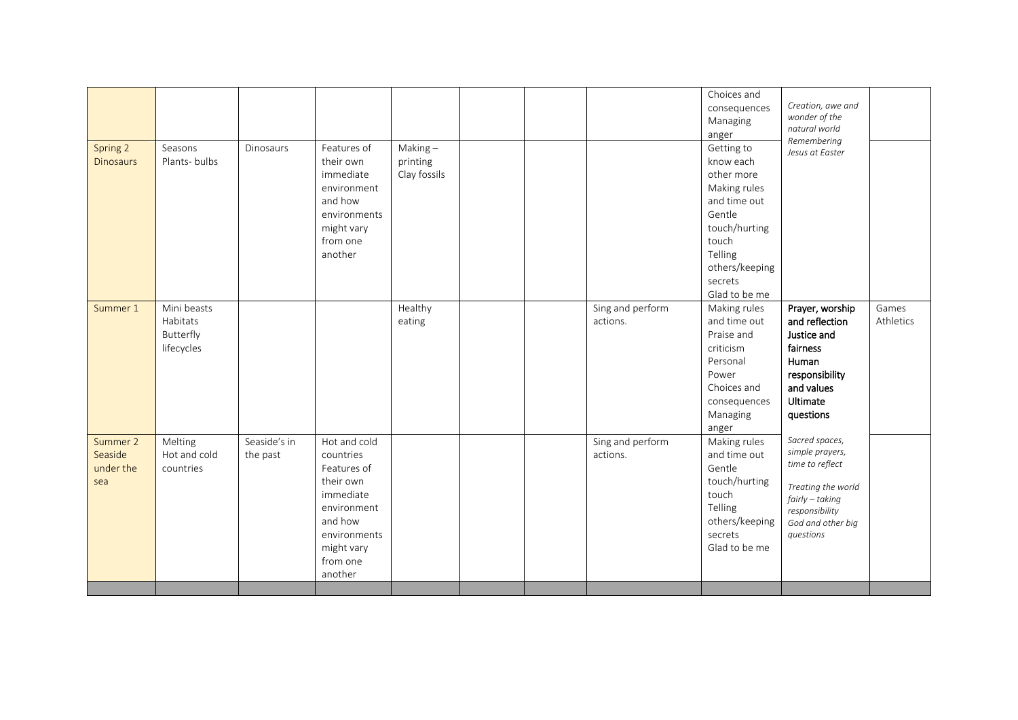| Summer 2<br>Seaside<br>under the<br>sea | lifecycles<br>Melting<br>Hot and cold<br>countries | Seaside's in<br>the past | Hot and cold<br>countries<br>Features of<br>their own<br>immediate<br>environment<br>and how<br>environments<br>might vary<br>from one<br>another |                                     |  | Sing and perform<br>actions. | criticism<br>Personal<br>Power<br>Choices and<br>consequences<br>Managing<br>anger<br>Making rules<br>and time out<br>Gentle<br>touch/hurting<br>touch<br>Telling<br>others/keeping<br>secrets<br>Glad to be me | fairness<br>Human<br>responsibility<br>and values<br>Ultimate<br>questions<br>Sacred spaces,<br>simple prayers,<br>time to reflect<br>Treating the world<br>fairly - taking<br>responsibility<br>God and other big<br>questions |                    |
|-----------------------------------------|----------------------------------------------------|--------------------------|---------------------------------------------------------------------------------------------------------------------------------------------------|-------------------------------------|--|------------------------------|-----------------------------------------------------------------------------------------------------------------------------------------------------------------------------------------------------------------|---------------------------------------------------------------------------------------------------------------------------------------------------------------------------------------------------------------------------------|--------------------|
| Summer 1                                | Mini beasts<br>Habitats<br>Butterfly               |                          | environments<br>might vary<br>from one<br>another                                                                                                 | Healthy<br>eating                   |  | Sing and perform<br>actions. | Gentle<br>touch/hurting<br>touch<br>Telling<br>others/keeping<br>secrets<br>Glad to be me<br>Making rules<br>and time out<br>Praise and                                                                         | Prayer, worship<br>and reflection<br>Justice and                                                                                                                                                                                | Games<br>Athletics |
| Spring 2<br><b>Dinosaurs</b>            | Seasons<br>Plants-bulbs                            | <b>Dinosaurs</b>         | Features of<br>their own<br>immediate<br>environment<br>and how                                                                                   | Making-<br>printing<br>Clay fossils |  |                              | consequences<br>Managing<br>anger<br>Getting to<br>know each<br>other more<br>Making rules<br>and time out                                                                                                      | Creation, awe and<br>wonder of the<br>natural world<br>Remembering<br>Jesus at Easter                                                                                                                                           |                    |
|                                         |                                                    |                          |                                                                                                                                                   |                                     |  |                              | Choices and                                                                                                                                                                                                     |                                                                                                                                                                                                                                 |                    |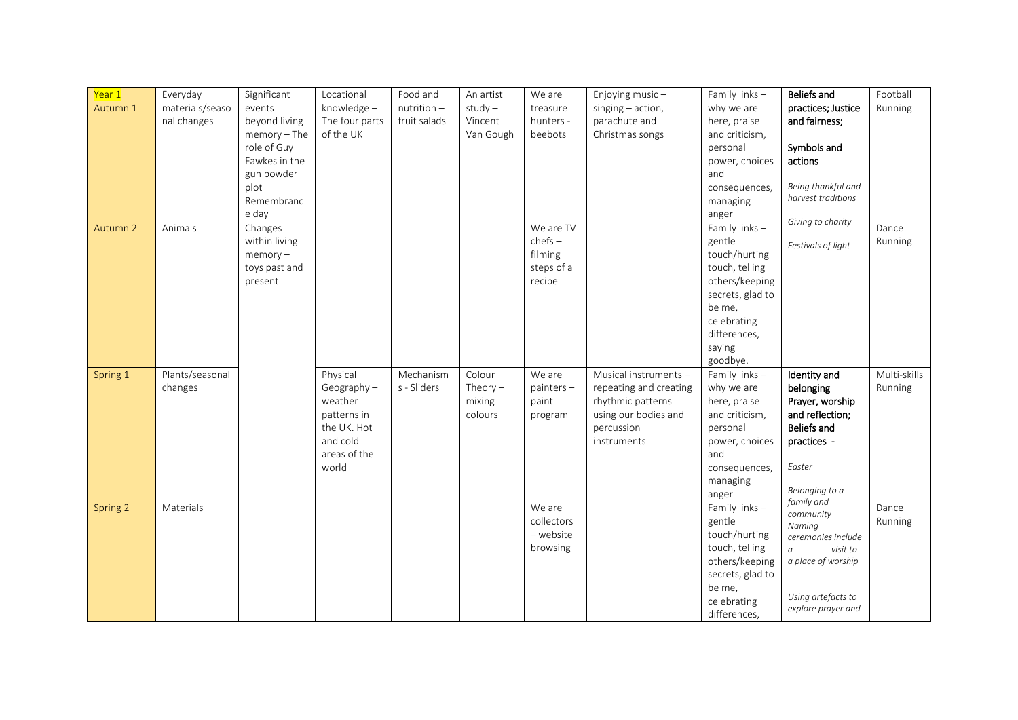| Year 1   | Everyday        | Significant    | Locational     | Food and      | An artist  | We are       | Enjoying music-        | Family links -   | Beliefs and        | Football     |
|----------|-----------------|----------------|----------------|---------------|------------|--------------|------------------------|------------------|--------------------|--------------|
| Autumn 1 | materials/seaso | events         | knowledge-     | $nutrition -$ | $study -$  | treasure     | singing - action,      | why we are       | practices; Justice | Running      |
|          | nal changes     | beyond living  | The four parts | fruit salads  | Vincent    | hunters -    | parachute and          | here, praise     | and fairness;      |              |
|          |                 | $memory - The$ | of the UK      |               | Van Gough  | beebots      | Christmas songs        | and criticism,   |                    |              |
|          |                 | role of Guy    |                |               |            |              |                        | personal         | Symbols and        |              |
|          |                 | Fawkes in the  |                |               |            |              |                        | power, choices   | actions            |              |
|          |                 | gun powder     |                |               |            |              |                        | and              |                    |              |
|          |                 | plot           |                |               |            |              |                        | consequences,    | Being thankful and |              |
|          |                 | Remembranc     |                |               |            |              |                        | managing         | harvest traditions |              |
|          |                 | e day          |                |               |            |              |                        | anger            |                    |              |
| Autumn 2 | Animals         | Changes        |                |               |            | We are TV    |                        | Family links-    | Giving to charity  | Dance        |
|          |                 | within living  |                |               |            | $chefs -$    |                        | gentle           | Festivals of light | Running      |
|          |                 | $memory -$     |                |               |            | filming      |                        | touch/hurting    |                    |              |
|          |                 | toys past and  |                |               |            | steps of a   |                        | touch, telling   |                    |              |
|          |                 | present        |                |               |            | recipe       |                        | others/keeping   |                    |              |
|          |                 |                |                |               |            |              |                        | secrets, glad to |                    |              |
|          |                 |                |                |               |            |              |                        | be me,           |                    |              |
|          |                 |                |                |               |            |              |                        | celebrating      |                    |              |
|          |                 |                |                |               |            |              |                        | differences,     |                    |              |
|          |                 |                |                |               |            |              |                        | saying           |                    |              |
|          |                 |                |                |               |            |              |                        | goodbye.         |                    |              |
| Spring 1 | Plants/seasonal |                | Physical       | Mechanism     | Colour     | We are       | Musical instruments-   | Family links-    | Identity and       | Multi-skills |
|          | changes         |                | Geography-     | s - Sliders   | Theory $-$ | $painters -$ | repeating and creating | why we are       | belonging          | Running      |
|          |                 |                | weather        |               | mixing     | paint        | rhythmic patterns      | here, praise     | Prayer, worship    |              |
|          |                 |                | patterns in    |               | colours    | program      | using our bodies and   | and criticism,   | and reflection;    |              |
|          |                 |                | the UK. Hot    |               |            |              | percussion             | personal         | <b>Beliefs and</b> |              |
|          |                 |                | and cold       |               |            |              | instruments            | power, choices   | practices -        |              |
|          |                 |                | areas of the   |               |            |              |                        | and              |                    |              |
|          |                 |                | world          |               |            |              |                        | consequences,    | Easter             |              |
|          |                 |                |                |               |            |              |                        | managing         | Belonging to a     |              |
|          |                 |                |                |               |            |              |                        | anger            | family and         |              |
| Spring 2 | Materials       |                |                |               |            | We are       |                        | Family links-    | community          | Dance        |
|          |                 |                |                |               |            | collectors   |                        | gentle           | Naming             | Running      |
|          |                 |                |                |               |            | - website    |                        | touch/hurting    | ceremonies include |              |
|          |                 |                |                |               |            | browsing     |                        | touch, telling   | visit to           |              |
|          |                 |                |                |               |            |              |                        | others/keeping   | a place of worship |              |
|          |                 |                |                |               |            |              |                        | secrets, glad to |                    |              |
|          |                 |                |                |               |            |              |                        | be me,           | Using artefacts to |              |
|          |                 |                |                |               |            |              |                        | celebrating      | explore prayer and |              |
|          |                 |                |                |               |            |              |                        | differences,     |                    |              |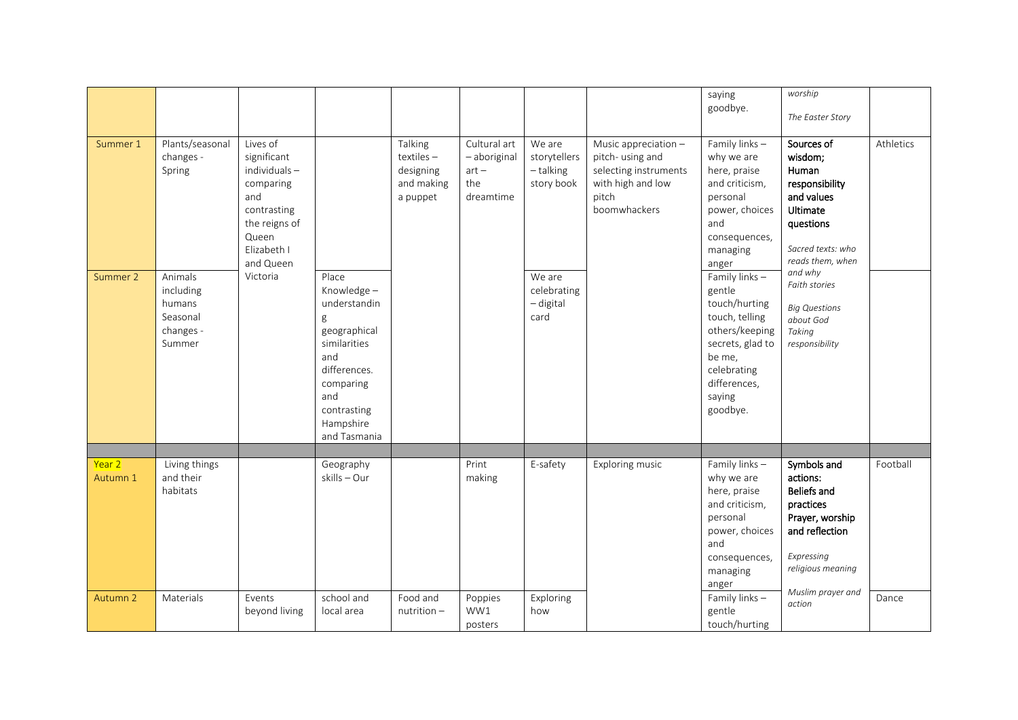| Summer 1           | Plants/seasonal<br>changes -<br>Spring                            | Lives of<br>significant<br>individuals-<br>comparing<br>and<br>contrasting<br>the reigns of<br>Queen<br>Elizabeth I<br>and Queen |                                                                                                                                                                 | Talking<br>$textiles -$<br>designing<br>and making<br>a puppet | Cultural art<br>- aboriginal<br>$art -$<br>the<br>dreamtime | We are<br>storytellers<br>- talking<br>story book | Music appreciation -<br>pitch- using and<br>selecting instruments<br>with high and low<br>pitch<br>boomwhackers | saying<br>goodbye.<br>Family links-<br>why we are<br>here, praise<br>and criticism,<br>personal<br>power, choices<br>and<br>consequences,<br>managing<br>anger  | worship<br>The Easter Story<br>Sources of<br>wisdom;<br>Human<br>responsibility<br>and values<br>Ultimate<br>questions<br>Sacred texts: who<br>reads them, when | Athletics |
|--------------------|-------------------------------------------------------------------|----------------------------------------------------------------------------------------------------------------------------------|-----------------------------------------------------------------------------------------------------------------------------------------------------------------|----------------------------------------------------------------|-------------------------------------------------------------|---------------------------------------------------|-----------------------------------------------------------------------------------------------------------------|-----------------------------------------------------------------------------------------------------------------------------------------------------------------|-----------------------------------------------------------------------------------------------------------------------------------------------------------------|-----------|
| Summer 2           | Animals<br>including<br>humans<br>Seasonal<br>changes -<br>Summer | Victoria                                                                                                                         | Place<br>Knowledge-<br>understandin<br>g<br>geographical<br>similarities<br>and<br>differences.<br>comparing<br>and<br>contrasting<br>Hampshire<br>and Tasmania |                                                                |                                                             | We are<br>celebrating<br>- digital<br>card        |                                                                                                                 | Family links-<br>gentle<br>touch/hurting<br>touch, telling<br>others/keeping<br>secrets, glad to<br>be me,<br>celebrating<br>differences,<br>saying<br>goodbye. | and why<br>Faith stories<br><b>Big Questions</b><br>about God<br>Taking<br>responsibility                                                                       |           |
| Year 2<br>Autumn 1 | Living things<br>and their<br>habitats                            |                                                                                                                                  | Geography<br>skills - Our                                                                                                                                       |                                                                | Print<br>making                                             | E-safety                                          | Exploring music                                                                                                 | Family links-<br>why we are<br>here, praise<br>and criticism,<br>personal<br>power, choices<br>and<br>consequences,<br>managing<br>anger                        | Symbols and<br>actions:<br><b>Beliefs and</b><br>practices<br>Prayer, worship<br>and reflection<br>Expressing<br>religious meaning<br>Muslim prayer and         | Football  |
| Autumn 2           | Materials                                                         | Events<br>beyond living                                                                                                          | school and<br>local area                                                                                                                                        | Food and<br>$nutrition -$                                      | Poppies<br>WW1<br>posters                                   | Exploring<br>how                                  |                                                                                                                 | Family links -<br>gentle<br>touch/hurting                                                                                                                       | action                                                                                                                                                          | Dance     |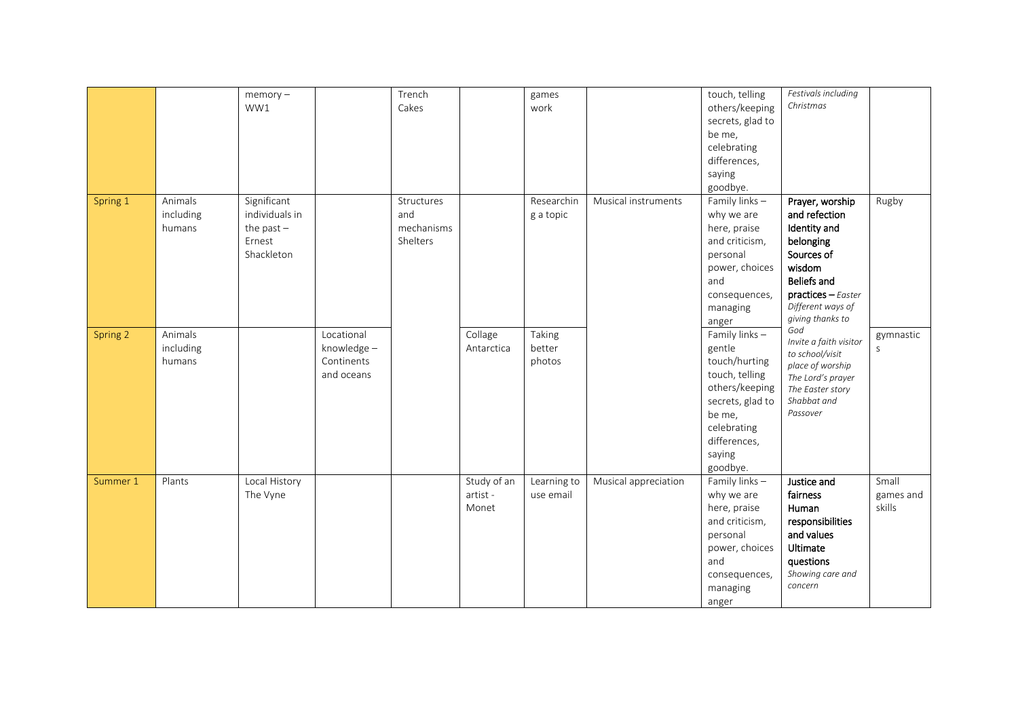|          |           | $memory -$     |             | Trench     |             | games       |                      | touch, telling             | Festivals including             |              |
|----------|-----------|----------------|-------------|------------|-------------|-------------|----------------------|----------------------------|---------------------------------|--------------|
|          |           | WW1            |             | Cakes      |             | work        |                      | others/keeping             | Christmas                       |              |
|          |           |                |             |            |             |             |                      | secrets, glad to           |                                 |              |
|          |           |                |             |            |             |             |                      | be me,                     |                                 |              |
|          |           |                |             |            |             |             |                      | celebrating                |                                 |              |
|          |           |                |             |            |             |             |                      | differences,               |                                 |              |
|          |           |                |             |            |             |             |                      | saying                     |                                 |              |
|          |           |                |             |            |             |             |                      | goodbye.                   |                                 |              |
| Spring 1 | Animals   | Significant    |             | Structures |             | Researchin  | Musical instruments  | Family links $-$           | Prayer, worship                 | Rugby        |
|          | including | individuals in |             | and        |             | g a topic   |                      | why we are                 | and refection                   |              |
|          | humans    | the past $-$   |             | mechanisms |             |             |                      | here, praise               | Identity and                    |              |
|          |           | Ernest         |             | Shelters   |             |             |                      | and criticism,             | belonging                       |              |
|          |           | Shackleton     |             |            |             |             |                      | personal                   | Sources of                      |              |
|          |           |                |             |            |             |             |                      | power, choices             | wisdom                          |              |
|          |           |                |             |            |             |             |                      | and                        | Beliefs and                     |              |
|          |           |                |             |            |             |             |                      | consequences,              | $practices - Easter$            |              |
|          |           |                |             |            |             |             |                      | managing                   | Different ways of               |              |
|          |           |                |             |            |             |             |                      | anger                      | giving thanks to                |              |
| Spring 2 | Animals   |                | Locational  |            | Collage     | Taking      |                      | Family links -             | God                             | gymnastic    |
|          | including |                | knowledge - |            | Antarctica  | better      |                      | gentle                     | Invite a faith visitor          | $\mathsf{S}$ |
|          | humans    |                | Continents  |            |             | photos      |                      | touch/hurting              | to school/visit                 |              |
|          |           |                | and oceans  |            |             |             |                      | touch, telling             | place of worship                |              |
|          |           |                |             |            |             |             |                      | others/keeping             | The Lord's prayer               |              |
|          |           |                |             |            |             |             |                      | secrets, glad to           | The Easter story<br>Shabbat and |              |
|          |           |                |             |            |             |             |                      | be me,                     | Passover                        |              |
|          |           |                |             |            |             |             |                      | celebrating                |                                 |              |
|          |           |                |             |            |             |             |                      | differences,               |                                 |              |
|          |           |                |             |            |             |             |                      | saying                     |                                 |              |
|          |           |                |             |            |             |             |                      |                            |                                 |              |
| Summer 1 | Plants    | Local History  |             |            | Study of an | Learning to | Musical appreciation | goodbye.<br>Family links - | Justice and                     | Small        |
|          |           | The Vyne       |             |            | artist -    | use email   |                      | why we are                 | fairness                        | games and    |
|          |           |                |             |            | Monet       |             |                      | here, praise               | Human                           | skills       |
|          |           |                |             |            |             |             |                      | and criticism,             | responsibilities                |              |
|          |           |                |             |            |             |             |                      | personal                   | and values                      |              |
|          |           |                |             |            |             |             |                      | power, choices             | Ultimate                        |              |
|          |           |                |             |            |             |             |                      | and                        | questions                       |              |
|          |           |                |             |            |             |             |                      |                            | Showing care and                |              |
|          |           |                |             |            |             |             |                      | consequences,              | concern                         |              |
|          |           |                |             |            |             |             |                      | managing                   |                                 |              |
|          |           |                |             |            |             |             |                      | anger                      |                                 |              |